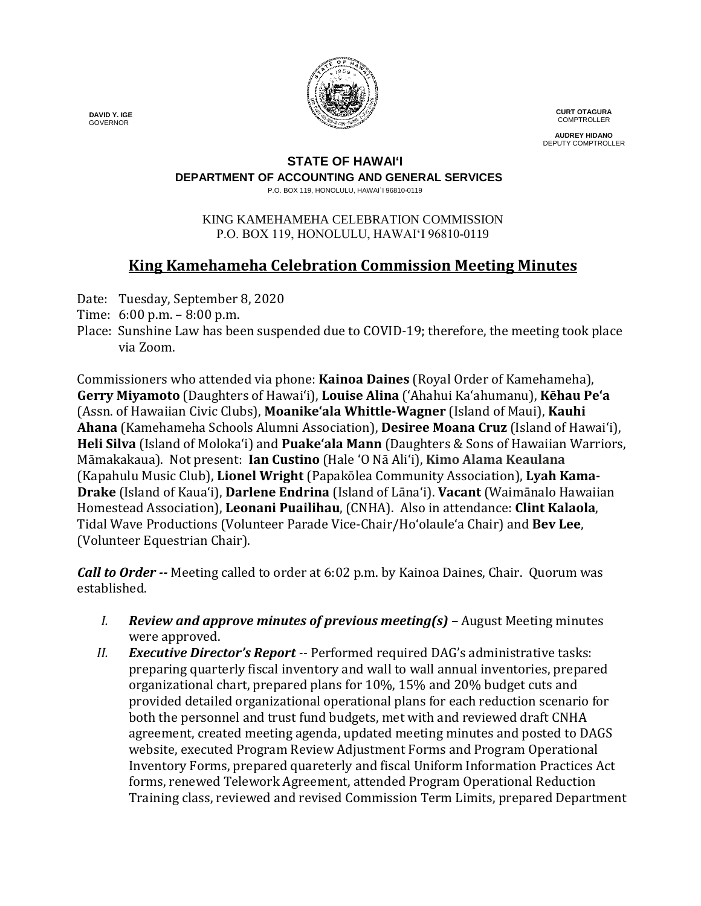

**CURT OTAGURA COMPTROLLER** 

**AUDREY HIDANO** DEPUTY COMPTROLLER

#### **STATE OF HAWAI'I**

**DEPARTMENT OF ACCOUNTING AND GENERAL SERVICES**

P.O. BOX 119, HONOLULU, HAWAI`I 96810-0119

#### KING KAMEHAMEHA CELEBRATION COMMISSION P.O. BOX 119, HONOLULU, HAWAIʻI 96810-0119

# **King Kamehameha Celebration Commission Meeting Minutes**

- Date: Tuesday, September 8, 2020
- Time: 6:00 p.m. 8:00 p.m.
- Place: Sunshine Law has been suspended due to COVID-19; therefore, the meeting took place via Zoom.

Commissioners who attended via phone: **Kainoa Daines** (Royal Order of Kamehameha), **Gerry Miyamoto** (Daughters of Hawai'i), **Louise Alina** ('Ahahui Ka'ahumanu), **Kēhau Pe'a** (Assn. of Hawaiian Civic Clubs), **Moanike'ala Whittle-Wagner** (Island of Maui), **Kauhi Ahana** (Kamehameha Schools Alumni Association), **Desiree Moana Cruz** (Island of Hawai'i), **Heli Silva** (Island of Molokaʻi) and **Puake'ala Mann** (Daughters & Sons of Hawaiian Warriors, Māmakakaua). Not present: **Ian Custino** (Hale 'O Nā Ali'i), **Kimo Alama Keaulana** (Kapahulu Music Club), **Lionel Wright** (Papakōlea Community Association), **Lyah Kama-Drake** (Island of Kaua'i), **Darlene Endrina** (Island of Lāna'i). **Vacant** (Waimānalo Hawaiian Homestead Association), **Leonani Puailihau**, (CNHA). Also in attendance: **Clint Kalaola**, Tidal Wave Productions (Volunteer Parade Vice-Chair/Ho'olaule'a Chair) and **Bev Lee**, (Volunteer Equestrian Chair).

*Call to Order --* Meeting called to order at 6:02 p.m. by Kainoa Daines, Chair. Quorum was established.

- *I. Review and approve minutes of previous meeting(s) –* August Meeting minutes were approved.
- *II. Executive Director's Report --* Performed required DAG's administrative tasks: preparing quarterly fiscal inventory and wall to wall annual inventories, prepared organizational chart, prepared plans for 10%, 15% and 20% budget cuts and provided detailed organizational operational plans for each reduction scenario for both the personnel and trust fund budgets, met with and reviewed draft CNHA agreement, created meeting agenda, updated meeting minutes and posted to DAGS website, executed Program Review Adjustment Forms and Program Operational Inventory Forms, prepared quareterly and fiscal Uniform Information Practices Act forms, renewed Telework Agreement, attended Program Operational Reduction Training class, reviewed and revised Commission Term Limits, prepared Department

 **DAVID Y. IGE** GOVERNOR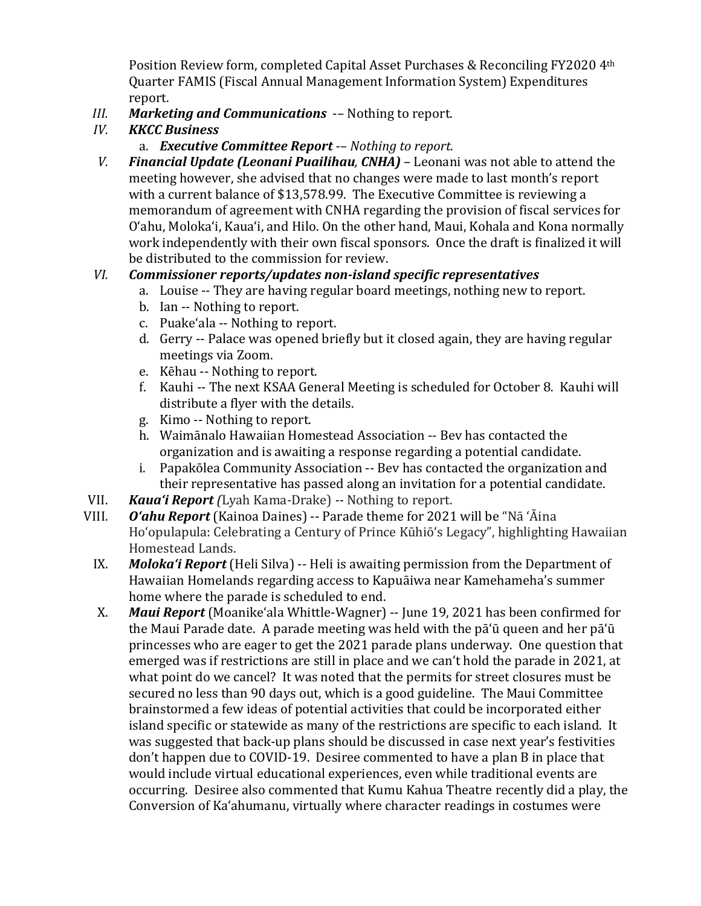Position Review form, completed Capital Asset Purchases & Reconciling FY2020 4th Quarter FAMIS (Fiscal Annual Management Information System) Expenditures report.

- *III. Marketing and Communications* -- Nothing to report.<br>*IV. KKCC Business*
- *IV. KKCC Business*

## a. *Executive Committee Report -– Nothing to report*.

*V. Financial Update (Leonani Puailihau, CNHA)* – Leonani was not able to attend the meeting however, she advised that no changes were made to last month's report with a current balance of \$13,578.99. The Executive Committee is reviewing a memorandum of agreement with CNHA regarding the provision of fiscal services for O'ahu, Moloka'i, Kaua'i, and Hilo. On the other hand, Maui, Kohala and Kona normally work independently with their own fiscal sponsors. Once the draft is finalized it will be distributed to the commission for review.

## *VI. Commissioner reports/updates non-island specific representatives*

- a. Louise -- They are having regular board meetings, nothing new to report.
- b. Ian -- Nothing to report.
- c. Puakeʻala -- Nothing to report.
- d. Gerry -- Palace was opened briefly but it closed again, they are having regular meetings via Zoom.
- e. Kēhau -- Nothing to report.
- f. Kauhi -- The next KSAA General Meeting is scheduled for October 8. Kauhi will distribute a flyer with the details.
- g. Kimo -- Nothing to report.
- h. Waimānalo Hawaiian Homestead Association -- Bev has contacted the organization and is awaiting a response regarding a potential candidate.
- i. Papakōlea Community Association -- Bev has contacted the organization and their representative has passed along an invitation for a potential candidate.
- VII. *Kaua'i Report (*Lyah Kama-Drake) *--* Nothing to report.
- **O'ahu Report** (Kainoa Daines) -- Parade theme for 2021 will be "Nā 'Āina Hoʻopulapula: Celebrating a Century of Prince Kūhiōʻs Legacy", highlighting Hawaiian Homestead Lands.
	- IX. *Moloka'i Report* (Heli Silva) -- Heli is awaiting permission from the Department of Hawaiian Homelands regarding access to Kapuāiwa near Kamehameha's summer home where the parade is scheduled to end.
	- X. *Maui Report* (Moanikeʻala Whittle-Wagner) -- June 19, 2021 has been confirmed for the Maui Parade date. A parade meeting was held with the pā'ū queen and her pā'ū princesses who are eager to get the 2021 parade plans underway. One question that emerged was if restrictions are still in place and we canʻt hold the parade in 2021, at what point do we cancel? It was noted that the permits for street closures must be secured no less than 90 days out, which is a good guideline. The Maui Committee brainstormed a few ideas of potential activities that could be incorporated either island specific or statewide as many of the restrictions are specific to each island. It was suggested that back-up plans should be discussed in case next year's festivities don't happen due to COVID-19. Desiree commented to have a plan B in place that would include virtual educational experiences, even while traditional events are occurring. Desiree also commented that Kumu Kahua Theatre recently did a play, the Conversion of Ka'ahumanu, virtually where character readings in costumes were